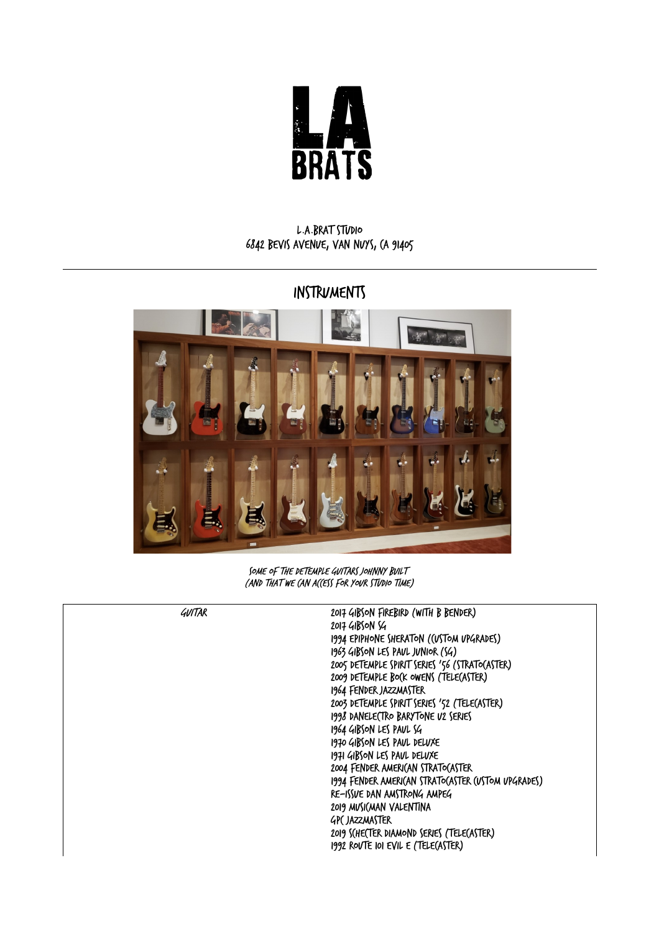

## L.A.Brat Studio 6842 Bevis Avenue, Van Nuys, CA 91405

## INSTRUMENTS



SOME OF THE DETEMPLE GUITARS JOHNNY BUILT (and that we can access for your studio time)

| GUITAR | 2017 GIBSON FIREBIRD (WITH B BENDER)               |
|--------|----------------------------------------------------|
|        | 2017 GIBSON SG                                     |
|        | 1994 EPIPHONE SHERATON ((USTOM UPGRADES)           |
|        | 1963 GIBSON LES PAUL JUNIOR (SG)                   |
|        | 2005 DETEMPLE SPIRIT SERIES '56 (STRATO(ASTER)     |
|        | 2009 DETEMPLE BO(K OWENS (TELE(ASTER)              |
|        | 1964 FENDER JAZZMASTER                             |
|        | 2003 DETEMPLE SPIRIT SERIES '52 (TELE(ASTER)       |
|        | 1998 DANELE(TRO BARYTONE U2 SERIES                 |
|        | 1964 GIBSON LES PAUL SG                            |
|        | 1970 GIBSON LES PAUL DELUXE                        |
|        | 1971 GIBSON LES PAUL DELUXE                        |
|        | 2004 FENDER AMERI(AN STRATO(ASTER                  |
|        | 1994 FENDER AMERI(AN STRATO(ASTER (USTOM UPGRADES) |
|        | RE-ISSUE DAN AMSTRONG AMPEG                        |
|        | 2019 MUSICMAN VALENTINA                            |
|        | <b>GPC JAZZMASTER</b>                              |
|        | 2019 S(HE(TER DIAMOND SERIES (TELE(ASTER)          |
|        | 1992 ROVTE IOI EVIL E (TELE(ASTER)                 |
|        |                                                    |